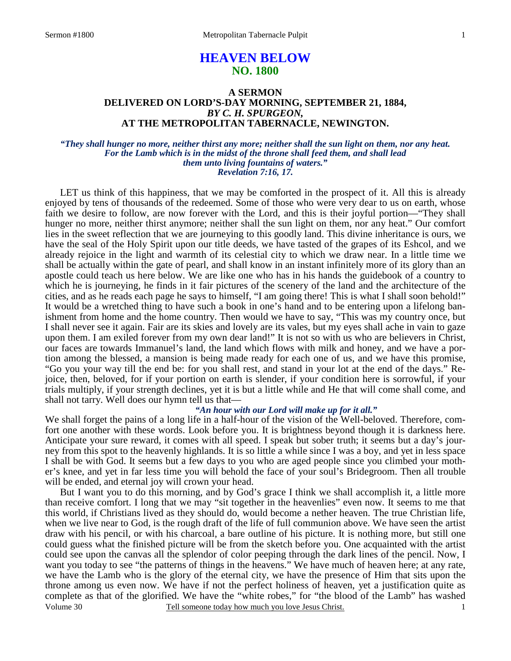# **HEAVEN BELOW NO. 1800**

# **A SERMON DELIVERED ON LORD'S-DAY MORNING, SEPTEMBER 21, 1884,**  *BY C. H. SPURGEON,*  **AT THE METROPOLITAN TABERNACLE, NEWINGTON.**

### *"They shall hunger no more, neither thirst any more; neither shall the sun light on them, nor any heat. For the Lamb which is in the midst of the throne shall feed them, and shall lead them unto living fountains of waters." Revelation 7:16, 17.*

LET us think of this happiness, that we may be comforted in the prospect of it. All this is already enjoyed by tens of thousands of the redeemed. Some of those who were very dear to us on earth, whose faith we desire to follow, are now forever with the Lord, and this is their joyful portion—"They shall hunger no more, neither thirst anymore; neither shall the sun light on them, nor any heat." Our comfort lies in the sweet reflection that we are journeying to this goodly land. This divine inheritance is ours, we have the seal of the Holy Spirit upon our title deeds, we have tasted of the grapes of its Eshcol, and we already rejoice in the light and warmth of its celestial city to which we draw near. In a little time we shall be actually within the gate of pearl, and shall know in an instant infinitely more of its glory than an apostle could teach us here below. We are like one who has in his hands the guidebook of a country to which he is journeying, he finds in it fair pictures of the scenery of the land and the architecture of the cities, and as he reads each page he says to himself, "I am going there! This is what I shall soon behold!" It would be a wretched thing to have such a book in one's hand and to be entering upon a lifelong banishment from home and the home country. Then would we have to say, "This was my country once, but I shall never see it again. Fair are its skies and lovely are its vales, but my eyes shall ache in vain to gaze upon them. I am exiled forever from my own dear land!" It is not so with us who are believers in Christ, our faces are towards Immanuel's land, the land which flows with milk and honey, and we have a portion among the blessed, a mansion is being made ready for each one of us, and we have this promise, "Go you your way till the end be: for you shall rest, and stand in your lot at the end of the days." Rejoice, then, beloved, for if your portion on earth is slender, if your condition here is sorrowful, if your trials multiply, if your strength declines, yet it is but a little while and He that will come shall come, and shall not tarry. Well does our hymn tell us that—

### *"An hour with our Lord will make up for it all."*

We shall forget the pains of a long life in a half-hour of the vision of the Well-beloved. Therefore, comfort one another with these words. Look before you. It is brightness beyond though it is darkness here. Anticipate your sure reward, it comes with all speed. I speak but sober truth; it seems but a day's journey from this spot to the heavenly highlands. It is so little a while since I was a boy, and yet in less space I shall be with God. It seems but a few days to you who are aged people since you climbed your mother's knee, and yet in far less time you will behold the face of your soul's Bridegroom. Then all trouble will be ended, and eternal joy will crown your head.

Volume 30 Tell someone today how much you love Jesus Christ. But I want you to do this morning, and by God's grace I think we shall accomplish it, a little more than receive comfort. I long that we may "sit together in the heavenlies" even now. It seems to me that this world, if Christians lived as they should do, would become a nether heaven. The true Christian life, when we live near to God, is the rough draft of the life of full communion above. We have seen the artist draw with his pencil, or with his charcoal, a bare outline of his picture. It is nothing more, but still one could guess what the finished picture will be from the sketch before you. One acquainted with the artist could see upon the canvas all the splendor of color peeping through the dark lines of the pencil. Now, I want you today to see "the patterns of things in the heavens." We have much of heaven here; at any rate, we have the Lamb who is the glory of the eternal city, we have the presence of Him that sits upon the throne among us even now. We have if not the perfect holiness of heaven, yet a justification quite as complete as that of the glorified. We have the "white robes," for "the blood of the Lamb" has washed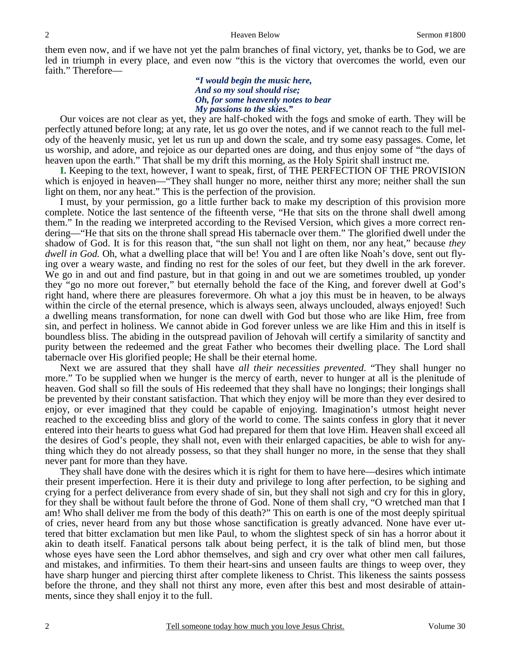them even now, and if we have not yet the palm branches of final victory, yet, thanks be to God, we are led in triumph in every place, and even now "this is the victory that overcomes the world, even our faith." Therefore—

### *"I would begin the music here, And so my soul should rise; Oh, for some heavenly notes to bear My passions to the skies."*

Our voices are not clear as yet, they are half-choked with the fogs and smoke of earth. They will be perfectly attuned before long; at any rate, let us go over the notes, and if we cannot reach to the full melody of the heavenly music, yet let us run up and down the scale, and try some easy passages. Come, let us worship, and adore, and rejoice as our departed ones are doing, and thus enjoy some of "the days of heaven upon the earth." That shall be my drift this morning, as the Holy Spirit shall instruct me.

**I.** Keeping to the text, however, I want to speak, first, of THE PERFECTION OF THE PROVISION which is enjoyed in heaven—"They shall hunger no more, neither thirst any more; neither shall the sun light on them, nor any heat." This is the perfection of the provision.

 I must, by your permission, go a little further back to make my description of this provision more complete. Notice the last sentence of the fifteenth verse, "He that sits on the throne shall dwell among them." In the reading we interpreted according to the Revised Version, which gives a more correct rendering—"He that sits on the throne shall spread His tabernacle over them." The glorified dwell under the shadow of God. It is for this reason that, "the sun shall not light on them, nor any heat," because *they dwell in God.* Oh, what a dwelling place that will be! You and I are often like Noah's dove, sent out flying over a weary waste, and finding no rest for the soles of our feet, but they dwell in the ark forever. We go in and out and find pasture, but in that going in and out we are sometimes troubled, up yonder they "go no more out forever," but eternally behold the face of the King, and forever dwell at God's right hand, where there are pleasures forevermore. Oh what a joy this must be in heaven, to be always within the circle of the eternal presence, which is always seen, always unclouded, always enjoyed! Such a dwelling means transformation, for none can dwell with God but those who are like Him, free from sin, and perfect in holiness. We cannot abide in God forever unless we are like Him and this in itself is boundless bliss. The abiding in the outspread pavilion of Jehovah will certify a similarity of sanctity and purity between the redeemed and the great Father who becomes their dwelling place. The Lord shall tabernacle over His glorified people; He shall be their eternal home.

 Next we are assured that they shall have *all their necessities prevented*. "They shall hunger no more." To be supplied when we hunger is the mercy of earth, never to hunger at all is the plenitude of heaven. God shall so fill the souls of His redeemed that they shall have no longings; their longings shall be prevented by their constant satisfaction. That which they enjoy will be more than they ever desired to enjoy, or ever imagined that they could be capable of enjoying. Imagination's utmost height never reached to the exceeding bliss and glory of the world to come. The saints confess in glory that it never entered into their hearts to guess what God had prepared for them that love Him. Heaven shall exceed all the desires of God's people, they shall not, even with their enlarged capacities, be able to wish for anything which they do not already possess, so that they shall hunger no more, in the sense that they shall never pant for more than they have.

 They shall have done with the desires which it is right for them to have here—desires which intimate their present imperfection. Here it is their duty and privilege to long after perfection, to be sighing and crying for a perfect deliverance from every shade of sin, but they shall not sigh and cry for this in glory, for they shall be without fault before the throne of God. None of them shall cry, "O wretched man that I am! Who shall deliver me from the body of this death?" This on earth is one of the most deeply spiritual of cries, never heard from any but those whose sanctification is greatly advanced. None have ever uttered that bitter exclamation but men like Paul, to whom the slightest speck of sin has a horror about it akin to death itself. Fanatical persons talk about being perfect, it is the talk of blind men, but those whose eyes have seen the Lord abhor themselves, and sigh and cry over what other men call failures, and mistakes, and infirmities. To them their heart-sins and unseen faults are things to weep over, they have sharp hunger and piercing thirst after complete likeness to Christ. This likeness the saints possess before the throne, and they shall not thirst any more, even after this best and most desirable of attainments, since they shall enjoy it to the full.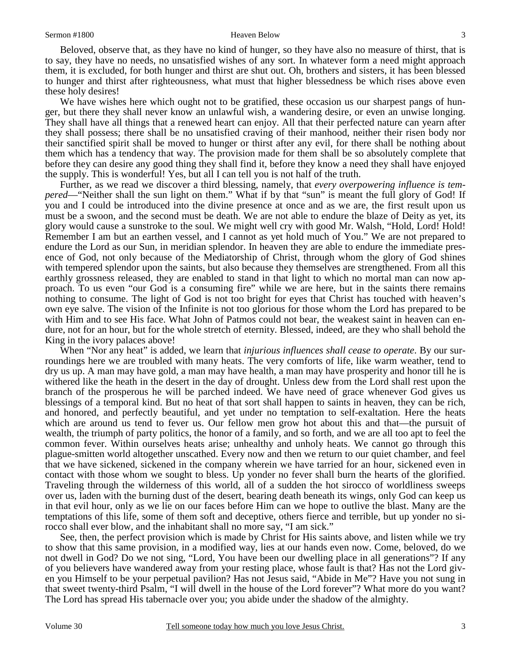Beloved, observe that, as they have no kind of hunger, so they have also no measure of thirst, that is to say, they have no needs, no unsatisfied wishes of any sort. In whatever form a need might approach them, it is excluded, for both hunger and thirst are shut out. Oh, brothers and sisters, it has been blessed to hunger and thirst after righteousness, what must that higher blessedness be which rises above even these holy desires!

We have wishes here which ought not to be gratified, these occasion us our sharpest pangs of hunger, but there they shall never know an unlawful wish, a wandering desire, or even an unwise longing. They shall have all things that a renewed heart can enjoy. All that their perfected nature can yearn after they shall possess; there shall be no unsatisfied craving of their manhood, neither their risen body nor their sanctified spirit shall be moved to hunger or thirst after any evil, for there shall be nothing about them which has a tendency that way. The provision made for them shall be so absolutely complete that before they can desire any good thing they shall find it, before they know a need they shall have enjoyed the supply. This is wonderful! Yes, but all I can tell you is not half of the truth.

 Further, as we read we discover a third blessing, namely, that *every overpowering influence is tempered*—"Neither shall the sun light on them." What if by that "sun" is meant the full glory of God! If you and I could be introduced into the divine presence at once and as we are, the first result upon us must be a swoon, and the second must be death. We are not able to endure the blaze of Deity as yet, its glory would cause a sunstroke to the soul. We might well cry with good Mr. Walsh, "Hold, Lord! Hold! Remember I am but an earthen vessel, and I cannot as yet hold much of You." We are not prepared to endure the Lord as our Sun, in meridian splendor. In heaven they are able to endure the immediate presence of God, not only because of the Mediatorship of Christ, through whom the glory of God shines with tempered splendor upon the saints, but also because they themselves are strengthened. From all this earthly grossness released, they are enabled to stand in that light to which no mortal man can now approach. To us even "our God is a consuming fire" while we are here, but in the saints there remains nothing to consume. The light of God is not too bright for eyes that Christ has touched with heaven's own eye salve. The vision of the Infinite is not too glorious for those whom the Lord has prepared to be with Him and to see His face. What John of Patmos could not bear, the weakest saint in heaven can endure, not for an hour, but for the whole stretch of eternity. Blessed, indeed, are they who shall behold the King in the ivory palaces above!

 When "Nor any heat" is added, we learn that *injurious influences shall cease to operate*. By our surroundings here we are troubled with many heats. The very comforts of life, like warm weather, tend to dry us up. A man may have gold, a man may have health, a man may have prosperity and honor till he is withered like the heath in the desert in the day of drought. Unless dew from the Lord shall rest upon the branch of the prosperous he will be parched indeed. We have need of grace whenever God gives us blessings of a temporal kind. But no heat of that sort shall happen to saints in heaven, they can be rich, and honored, and perfectly beautiful, and yet under no temptation to self-exaltation. Here the heats which are around us tend to fever us. Our fellow men grow hot about this and that—the pursuit of wealth, the triumph of party politics, the honor of a family, and so forth, and we are all too apt to feel the common fever. Within ourselves heats arise; unhealthy and unholy heats. We cannot go through this plague-smitten world altogether unscathed. Every now and then we return to our quiet chamber, and feel that we have sickened, sickened in the company wherein we have tarried for an hour, sickened even in contact with those whom we sought to bless. Up yonder no fever shall burn the hearts of the glorified. Traveling through the wilderness of this world, all of a sudden the hot sirocco of worldliness sweeps over us, laden with the burning dust of the desert, bearing death beneath its wings, only God can keep us in that evil hour, only as we lie on our faces before Him can we hope to outlive the blast. Many are the temptations of this life, some of them soft and deceptive, others fierce and terrible, but up yonder no sirocco shall ever blow, and the inhabitant shall no more say, "I am sick."

 See, then, the perfect provision which is made by Christ for His saints above, and listen while we try to show that this same provision, in a modified way, lies at our hands even now. Come, beloved, do we not dwell in God? Do we not sing, "Lord, You have been our dwelling place in all generations"? If any of you believers have wandered away from your resting place, whose fault is that? Has not the Lord given you Himself to be your perpetual pavilion? Has not Jesus said, "Abide in Me"? Have you not sung in that sweet twenty-third Psalm, "I will dwell in the house of the Lord forever"? What more do you want? The Lord has spread His tabernacle over you; you abide under the shadow of the almighty.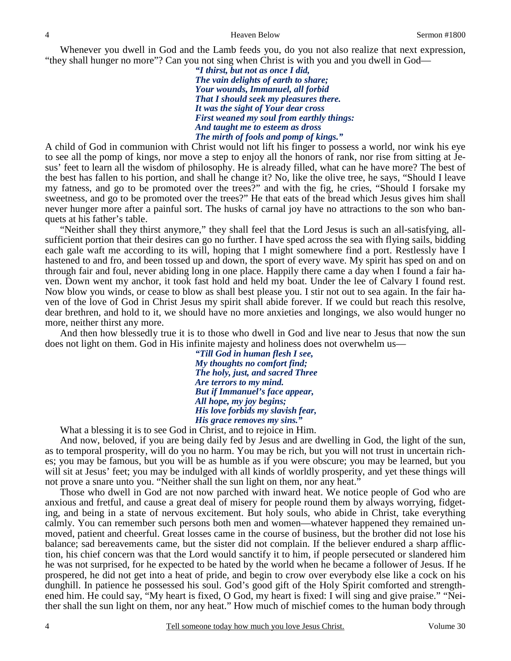Whenever you dwell in God and the Lamb feeds you, do you not also realize that next expression, "they shall hunger no more"? Can you not sing when Christ is with you and you dwell in God—

> *"I thirst, but not as once I did, The vain delights of earth to share; Your wounds, Immanuel, all forbid That I should seek my pleasures there. It was the sight of Your dear cross First weaned my soul from earthly things: And taught me to esteem as dross The mirth of fools and pomp of kings."*

A child of God in communion with Christ would not lift his finger to possess a world, nor wink his eye to see all the pomp of kings, nor move a step to enjoy all the honors of rank, nor rise from sitting at Jesus' feet to learn all the wisdom of philosophy. He is already filled, what can he have more? The best of the best has fallen to his portion, and shall he change it? No, like the olive tree, he says, "Should I leave my fatness, and go to be promoted over the trees?" and with the fig, he cries, "Should I forsake my sweetness, and go to be promoted over the trees?" He that eats of the bread which Jesus gives him shall never hunger more after a painful sort. The husks of carnal joy have no attractions to the son who banquets at his father's table.

 "Neither shall they thirst anymore," they shall feel that the Lord Jesus is such an all-satisfying, allsufficient portion that their desires can go no further. I have sped across the sea with flying sails, bidding each gale waft me according to its will, hoping that I might somewhere find a port. Restlessly have I hastened to and fro, and been tossed up and down, the sport of every wave. My spirit has sped on and on through fair and foul, never abiding long in one place. Happily there came a day when I found a fair haven. Down went my anchor, it took fast hold and held my boat. Under the lee of Calvary I found rest. Now blow you winds, or cease to blow as shall best please you. I stir not out to sea again. In the fair haven of the love of God in Christ Jesus my spirit shall abide forever. If we could but reach this resolve, dear brethren, and hold to it, we should have no more anxieties and longings, we also would hunger no more, neither thirst any more.

 And then how blessedly true it is to those who dwell in God and live near to Jesus that now the sun does not light on them. God in His infinite majesty and holiness does not overwhelm us—

> *"Till God in human flesh I see, My thoughts no comfort find; The holy, just, and sacred Three Are terrors to my mind. But if Immanuel's face appear, All hope, my joy begins; His love forbids my slavish fear, His grace removes my sins."*

What a blessing it is to see God in Christ, and to rejoice in Him.

 And now, beloved, if you are being daily fed by Jesus and are dwelling in God, the light of the sun, as to temporal prosperity, will do you no harm. You may be rich, but you will not trust in uncertain riches; you may be famous, but you will be as humble as if you were obscure; you may be learned, but you will sit at Jesus' feet; you may be indulged with all kinds of worldly prosperity, and yet these things will not prove a snare unto you. "Neither shall the sun light on them, nor any heat."

 Those who dwell in God are not now parched with inward heat. We notice people of God who are anxious and fretful, and cause a great deal of misery for people round them by always worrying, fidgeting, and being in a state of nervous excitement. But holy souls, who abide in Christ, take everything calmly. You can remember such persons both men and women—whatever happened they remained unmoved, patient and cheerful. Great losses came in the course of business, but the brother did not lose his balance; sad bereavements came, but the sister did not complain. If the believer endured a sharp affliction, his chief concern was that the Lord would sanctify it to him, if people persecuted or slandered him he was not surprised, for he expected to be hated by the world when he became a follower of Jesus. If he prospered, he did not get into a heat of pride, and begin to crow over everybody else like a cock on his dunghill. In patience he possessed his soul. God's good gift of the Holy Spirit comforted and strengthened him. He could say, "My heart is fixed, O God, my heart is fixed: I will sing and give praise." "Neither shall the sun light on them, nor any heat." How much of mischief comes to the human body through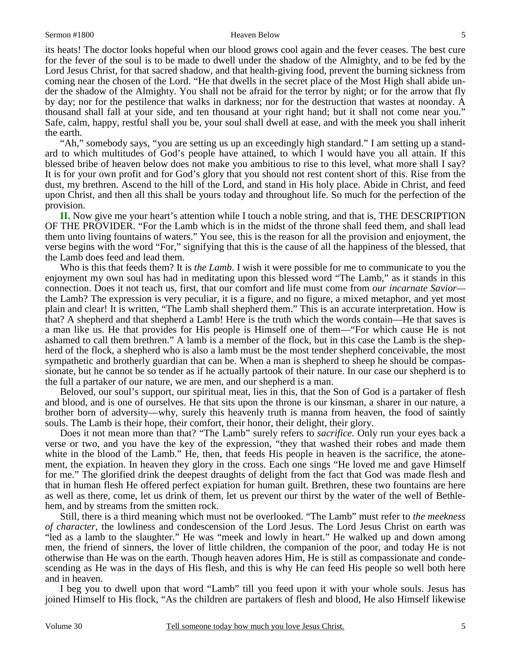### Sermon #1800 5

its heats! The doctor looks hopeful when our blood grows cool again and the fever ceases. The best cure for the fever of the soul is to be made to dwell under the shadow of the Almighty, and to be fed by the Lord Jesus Christ, for that sacred shadow, and that health-giving food, prevent the burning sickness from coming near the chosen of the Lord. "He that dwells in the secret place of the Most High shall abide under the shadow of the Almighty. You shall not be afraid for the terror by night; or for the arrow that fly by day; nor for the pestilence that walks in darkness; nor for the destruction that wastes at noonday. A thousand shall fall at your side, and ten thousand at your right hand; but it shall not come near you." Safe, calm, happy, restful shall you be, your soul shall dwell at ease, and with the meek you shall inherit the earth.

 "Ah," somebody says, "you are setting us up an exceedingly high standard." I am setting up a standard to which multitudes of God's people have attained, to which I would have you all attain. If this blessed bribe of heaven below does not make you ambitious to rise to this level, what more shall I say? It is for your own profit and for God's glory that you should not rest content short of this. Rise from the dust, my brethren. Ascend to the hill of the Lord, and stand in His holy place. Abide in Christ, and feed upon Christ, and then all this shall be yours today and throughout life. So much for the perfection of the provision.

**II.** Now give me your heart's attention while I touch a noble string, and that is, THE DESCRIPTION OF THE PROVIDER. "For the Lamb which is in the midst of the throne shall feed them, and shall lead them unto living fountains of waters." You see, this is the reason for all the provision and enjoyment, the verse begins with the word "For," signifying that this is the cause of all the happiness of the blessed, that the Lamb does feed and lead them.

 Who is this that feeds them? It is *the Lamb*. I wish it were possible for me to communicate to you the enjoyment my own soul has had in meditating upon this blessed word "The Lamb," as it stands in this connection. Does it not teach us, first, that our comfort and life must come from *our incarnate Savior* the Lamb? The expression is very peculiar, it is a figure, and no figure, a mixed metaphor, and yet most plain and clear! It is written, "The Lamb shall shepherd them." This is an accurate interpretation. How is that? A shepherd and that shepherd a Lamb! Here is the truth which the words contain—He that saves is a man like us. He that provides for His people is Himself one of them—"For which cause He is not ashamed to call them brethren." A lamb is a member of the flock, but in this case the Lamb is the shepherd of the flock, a shepherd who is also a lamb must be the most tender shepherd conceivable, the most sympathetic and brotherly guardian that can be. When a man is shepherd to sheep he should be compassionate, but he cannot be so tender as if he actually partook of their nature. In our case our shepherd is to the full a partaker of our nature, we are men, and our shepherd is a man.

 Beloved, our soul's support, our spiritual meat, lies in this, that the Son of God is a partaker of flesh and blood, and is one of ourselves. He that sits upon the throne is our kinsman, a sharer in our nature, a brother born of adversity—why, surely this heavenly truth is manna from heaven, the food of saintly souls. The Lamb is their hope, their comfort, their honor, their delight, their glory.

 Does it not mean more than that? "The Lamb" surely refers to *sacrifice*. Only run your eyes back a verse or two, and you have the key of the expression, "they that washed their robes and made them white in the blood of the Lamb." He, then, that feeds His people in heaven is the sacrifice, the atonement, the expiation. In heaven they glory in the cross. Each one sings "He loved me and gave Himself for me." The glorified drink the deepest draughts of delight from the fact that God was made flesh and that in human flesh He offered perfect expiation for human guilt. Brethren, these two fountains are here as well as there, come, let us drink of them, let us prevent our thirst by the water of the well of Bethlehem, and by streams from the smitten rock.

 Still, there is a third meaning which must not be overlooked. "The Lamb" must refer to *the meekness of character,* the lowliness and condescension of the Lord Jesus. The Lord Jesus Christ on earth was "led as a lamb to the slaughter." He was "meek and lowly in heart." He walked up and down among men, the friend of sinners, the lover of little children, the companion of the poor, and today He is not otherwise than He was on the earth. Though heaven adores Him, He is still as compassionate and condescending as He was in the days of His flesh, and this is why He can feed His people so well both here and in heaven.

 I beg you to dwell upon that word "Lamb" till you feed upon it with your whole souls. Jesus has joined Himself to His flock, "As the children are partakers of flesh and blood, He also Himself likewise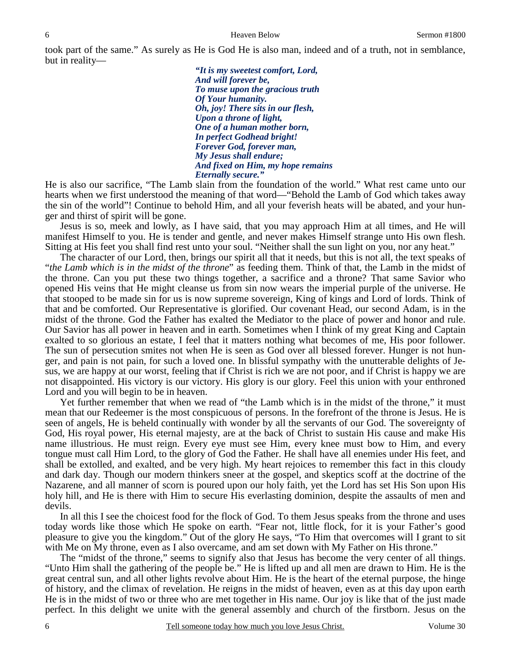took part of the same." As surely as He is God He is also man, indeed and of a truth, not in semblance, but in reality—

> *"It is my sweetest comfort, Lord, And will forever be, To muse upon the gracious truth Of Your humanity. Oh, joy! There sits in our flesh, Upon a throne of light, One of a human mother born, In perfect Godhead bright! Forever God, forever man, My Jesus shall endure; And fixed on Him, my hope remains Eternally secure."*

He is also our sacrifice, "The Lamb slain from the foundation of the world." What rest came unto our hearts when we first understood the meaning of that word—"Behold the Lamb of God which takes away the sin of the world"! Continue to behold Him, and all your feverish heats will be abated, and your hunger and thirst of spirit will be gone.

 Jesus is so, meek and lowly, as I have said, that you may approach Him at all times, and He will manifest Himself to you. He is tender and gentle, and never makes Himself strange unto His own flesh. Sitting at His feet you shall find rest unto your soul. "Neither shall the sun light on you, nor any heat."

 The character of our Lord, then, brings our spirit all that it needs, but this is not all, the text speaks of "*the Lamb which is in the midst of the throne*" as feeding them. Think of that, the Lamb in the midst of the throne. Can you put these two things together, a sacrifice and a throne? That same Savior who opened His veins that He might cleanse us from sin now wears the imperial purple of the universe. He that stooped to be made sin for us is now supreme sovereign, King of kings and Lord of lords. Think of that and be comforted. Our Representative is glorified. Our covenant Head, our second Adam, is in the midst of the throne. God the Father has exalted the Mediator to the place of power and honor and rule. Our Savior has all power in heaven and in earth. Sometimes when I think of my great King and Captain exalted to so glorious an estate, I feel that it matters nothing what becomes of me, His poor follower. The sun of persecution smites not when He is seen as God over all blessed forever. Hunger is not hunger, and pain is not pain, for such a loved one. In blissful sympathy with the unutterable delights of Jesus, we are happy at our worst, feeling that if Christ is rich we are not poor, and if Christ is happy we are not disappointed. His victory is our victory. His glory is our glory. Feel this union with your enthroned Lord and you will begin to be in heaven.

 Yet further remember that when we read of "the Lamb which is in the midst of the throne," it must mean that our Redeemer is the most conspicuous of persons. In the forefront of the throne is Jesus. He is seen of angels, He is beheld continually with wonder by all the servants of our God. The sovereignty of God, His royal power, His eternal majesty, are at the back of Christ to sustain His cause and make His name illustrious. He must reign. Every eye must see Him, every knee must bow to Him, and every tongue must call Him Lord, to the glory of God the Father. He shall have all enemies under His feet, and shall be extolled, and exalted, and be very high. My heart rejoices to remember this fact in this cloudy and dark day. Though our modern thinkers sneer at the gospel, and skeptics scoff at the doctrine of the Nazarene, and all manner of scorn is poured upon our holy faith, yet the Lord has set His Son upon His holy hill, and He is there with Him to secure His everlasting dominion, despite the assaults of men and devils.

 In all this I see the choicest food for the flock of God. To them Jesus speaks from the throne and uses today words like those which He spoke on earth. "Fear not, little flock, for it is your Father's good pleasure to give you the kingdom." Out of the glory He says, "To Him that overcomes will I grant to sit with Me on My throne, even as I also overcame, and am set down with My Father on His throne."

 The "midst of the throne," seems to signify also that Jesus has become the very center of all things. "Unto Him shall the gathering of the people be." He is lifted up and all men are drawn to Him. He is the great central sun, and all other lights revolve about Him. He is the heart of the eternal purpose, the hinge of history, and the climax of revelation. He reigns in the midst of heaven, even as at this day upon earth He is in the midst of two or three who are met together in His name. Our joy is like that of the just made perfect. In this delight we unite with the general assembly and church of the firstborn. Jesus on the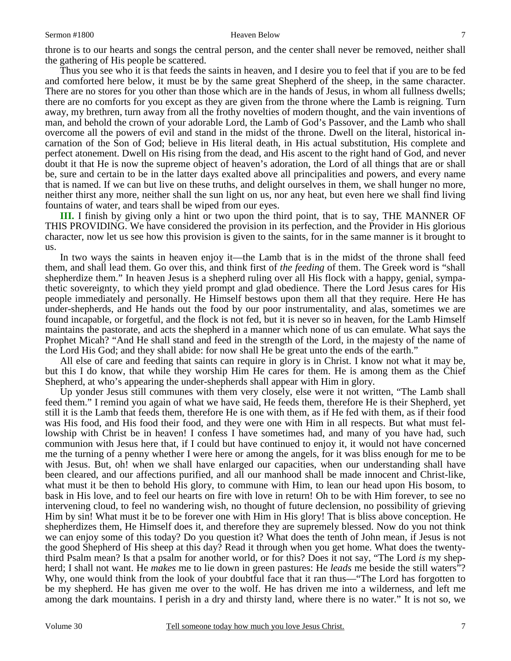throne is to our hearts and songs the central person, and the center shall never be removed, neither shall the gathering of His people be scattered.

 Thus you see who it is that feeds the saints in heaven, and I desire you to feel that if you are to be fed and comforted here below, it must be by the same great Shepherd of the sheep, in the same character. There are no stores for you other than those which are in the hands of Jesus, in whom all fullness dwells; there are no comforts for you except as they are given from the throne where the Lamb is reigning. Turn away, my brethren, turn away from all the frothy novelties of modern thought, and the vain inventions of man, and behold the crown of your adorable Lord, the Lamb of God's Passover, and the Lamb who shall overcome all the powers of evil and stand in the midst of the throne. Dwell on the literal, historical incarnation of the Son of God; believe in His literal death, in His actual substitution, His complete and perfect atonement. Dwell on His rising from the dead, and His ascent to the right hand of God, and never doubt it that He is now the supreme object of heaven's adoration, the Lord of all things that are or shall be, sure and certain to be in the latter days exalted above all principalities and powers, and every name that is named. If we can but live on these truths, and delight ourselves in them, we shall hunger no more, neither thirst any more, neither shall the sun light on us, nor any heat, but even here we shall find living fountains of water, and tears shall be wiped from our eyes.

**III.** I finish by giving only a hint or two upon the third point, that is to say, THE MANNER OF THIS PROVIDING. We have considered the provision in its perfection, and the Provider in His glorious character, now let us see how this provision is given to the saints, for in the same manner is it brought to us.

In two ways the saints in heaven enjoy it—the Lamb that is in the midst of the throne shall feed them, and shall lead them. Go over this, and think first of *the feeding* of them. The Greek word is "shall shepherdize them." In heaven Jesus is a shepherd ruling over all His flock with a happy, genial, sympathetic sovereignty, to which they yield prompt and glad obedience. There the Lord Jesus cares for His people immediately and personally. He Himself bestows upon them all that they require. Here He has under-shepherds, and He hands out the food by our poor instrumentality, and alas, sometimes we are found incapable, or forgetful, and the flock is not fed, but it is never so in heaven, for the Lamb Himself maintains the pastorate, and acts the shepherd in a manner which none of us can emulate. What says the Prophet Micah? "And He shall stand and feed in the strength of the Lord, in the majesty of the name of the Lord His God; and they shall abide: for now shall He be great unto the ends of the earth."

 All else of care and feeding that saints can require in glory is in Christ. I know not what it may be, but this I do know, that while they worship Him He cares for them. He is among them as the Chief Shepherd, at who's appearing the under-shepherds shall appear with Him in glory.

 Up yonder Jesus still communes with them very closely, else were it not written, "The Lamb shall feed them." I remind you again of what we have said, He feeds them, therefore He is their Shepherd, yet still it is the Lamb that feeds them, therefore He is one with them, as if He fed with them, as if their food was His food, and His food their food, and they were one with Him in all respects. But what must fellowship with Christ be in heaven! I confess I have sometimes had, and many of you have had, such communion with Jesus here that, if I could but have continued to enjoy it, it would not have concerned me the turning of a penny whether I were here or among the angels, for it was bliss enough for me to be with Jesus. But, oh! when we shall have enlarged our capacities, when our understanding shall have been cleared, and our affections purified, and all our manhood shall be made innocent and Christ-like, what must it be then to behold His glory, to commune with Him, to lean our head upon His bosom, to bask in His love, and to feel our hearts on fire with love in return! Oh to be with Him forever, to see no intervening cloud, to feel no wandering wish, no thought of future declension, no possibility of grieving Him by sin! What must it be to be forever one with Him in His glory! That is bliss above conception. He shepherdizes them, He Himself does it, and therefore they are supremely blessed. Now do you not think we can enjoy some of this today? Do you question it? What does the tenth of John mean, if Jesus is not the good Shepherd of His sheep at this day? Read it through when you get home. What does the twentythird Psalm mean? Is that a psalm for another world, or for this? Does it not say, "The Lord *is* my shepherd; I shall not want. He *makes* me to lie down in green pastures: He *leads* me beside the still waters"? Why, one would think from the look of your doubtful face that it ran thus—"The Lord has forgotten to be my shepherd. He has given me over to the wolf. He has driven me into a wilderness, and left me among the dark mountains. I perish in a dry and thirsty land, where there is no water." It is not so, we